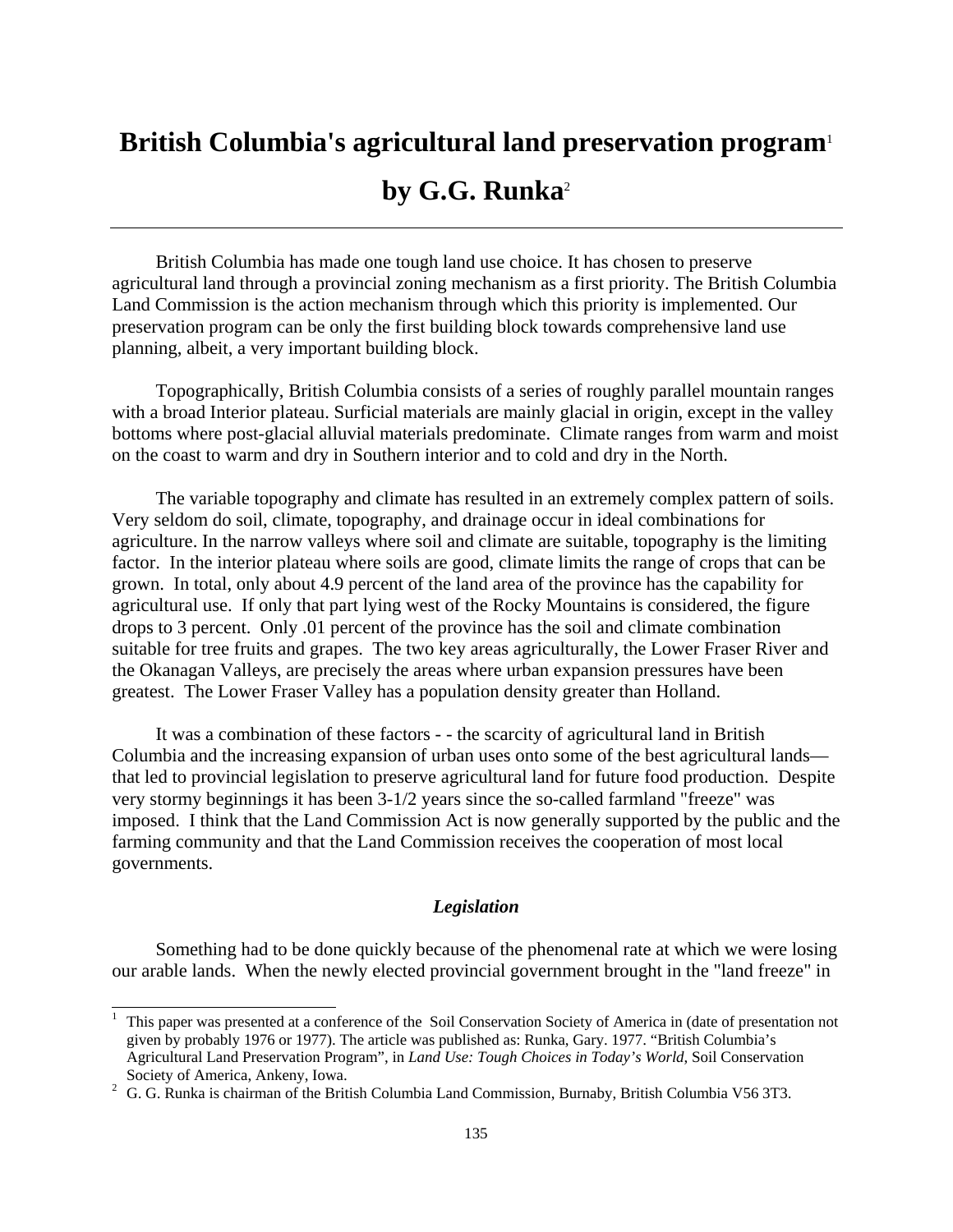# **British Columbia's agricultural land preservation program**<sup>1</sup> **by G.G. Runka**<sup>2</sup>

 British Columbia has made one tough land use choice. It has chosen to preserve agricultural land through a provincial zoning mechanism as a first priority. The British Columbia Land Commission is the action mechanism through which this priority is implemented. Our preservation program can be only the first building block towards comprehensive land use planning, albeit, a very important building block.

 Topographically, British Columbia consists of a series of roughly parallel mountain ranges with a broad Interior plateau. Surficial materials are mainly glacial in origin, except in the valley bottoms where post-glacial alluvial materials predominate. Climate ranges from warm and moist on the coast to warm and dry in Southern interior and to cold and dry in the North.

 The variable topography and climate has resulted in an extremely complex pattern of soils. Very seldom do soil, climate, topography, and drainage occur in ideal combinations for agriculture. In the narrow valleys where soil and climate are suitable, topography is the limiting factor. In the interior plateau where soils are good, climate limits the range of crops that can be grown. In total, only about 4.9 percent of the land area of the province has the capability for agricultural use. If only that part lying west of the Rocky Mountains is considered, the figure drops to 3 percent. Only .01 percent of the province has the soil and climate combination suitable for tree fruits and grapes. The two key areas agriculturally, the Lower Fraser River and the Okanagan Valleys, are precisely the areas where urban expansion pressures have been greatest. The Lower Fraser Valley has a population density greater than Holland.

 It was a combination of these factors - - the scarcity of agricultural land in British Columbia and the increasing expansion of urban uses onto some of the best agricultural lands that led to provincial legislation to preserve agricultural land for future food production. Despite very stormy beginnings it has been 3-1/2 years since the so-called farmland "freeze" was imposed. I think that the Land Commission Act is now generally supported by the public and the farming community and that the Land Commission receives the cooperation of most local governments.

# *Legislation*

 Something had to be done quickly because of the phenomenal rate at which we were losing our arable lands. When the newly elected provincial government brought in the "land freeze" in

<sup>1</sup> This paper was presented at a conference of the Soil Conservation Society of America in (date of presentation not given by probably 1976 or 1977). The article was published as: Runka, Gary. 1977. "British Columbia's Agricultural Land Preservation Program", in *Land Use: Tough Choices in Today's World*, Soil Conservation Society of America, Ankeny, Iowa.<br><sup>2</sup> G. G. Runka is chairman of the British Columbia Land Commission, Burnaby, British Columbia V56 3T3.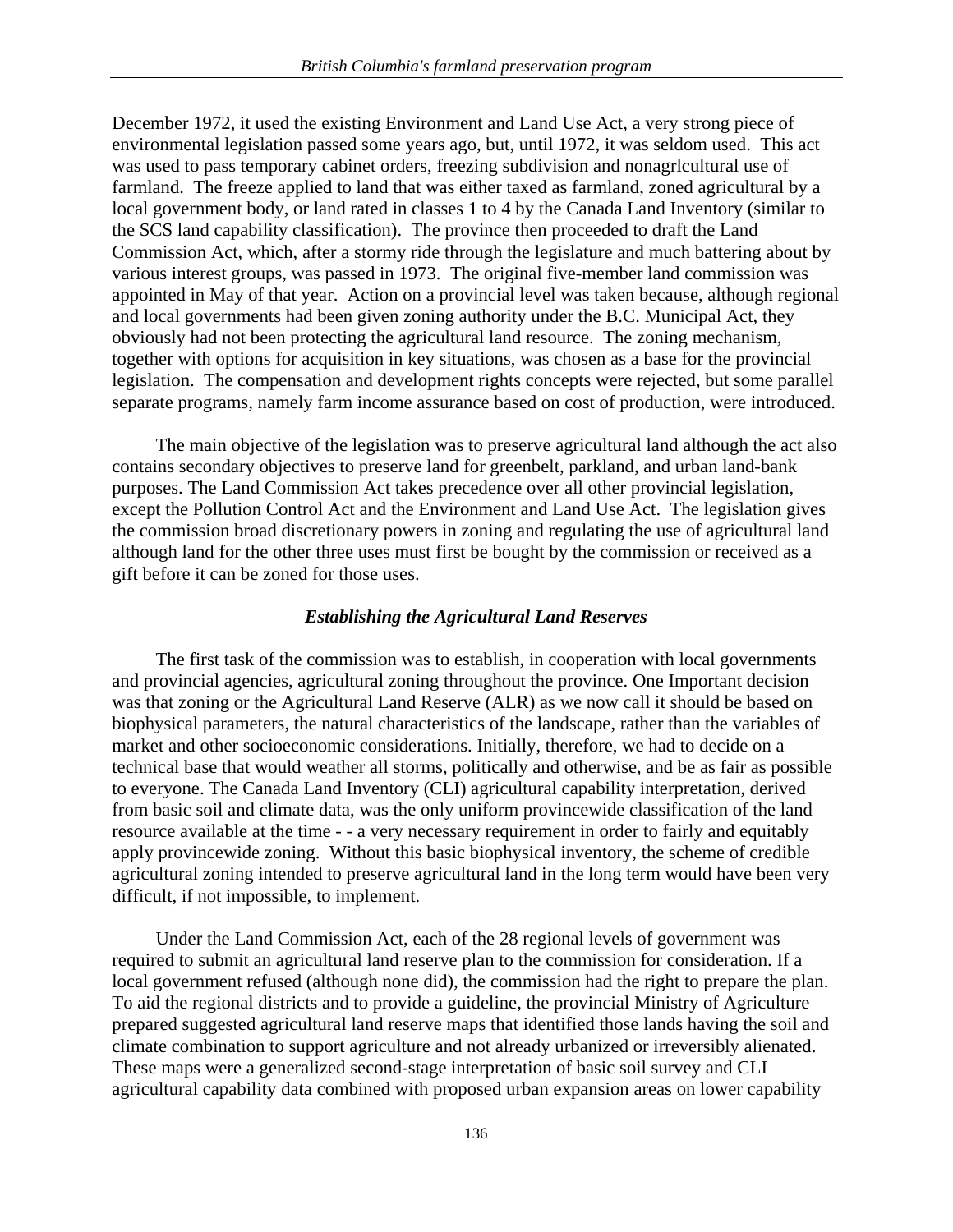December 1972, it used the existing Environment and Land Use Act, a very strong piece of environmental legislation passed some years ago, but, until 1972, it was seldom used. This act was used to pass temporary cabinet orders, freezing subdivision and nonagrlcultural use of farmland. The freeze applied to land that was either taxed as farmland, zoned agricultural by a local government body, or land rated in classes 1 to 4 by the Canada Land Inventory (similar to the SCS land capability classification). The province then proceeded to draft the Land Commission Act, which, after a stormy ride through the legislature and much battering about by various interest groups, was passed in 1973. The original five-member land commission was appointed in May of that year. Action on a provincial level was taken because, although regional and local governments had been given zoning authority under the B.C. Municipal Act, they obviously had not been protecting the agricultural land resource. The zoning mechanism, together with options for acquisition in key situations, was chosen as a base for the provincial legislation. The compensation and development rights concepts were rejected, but some parallel separate programs, namely farm income assurance based on cost of production, were introduced.

 The main objective of the legislation was to preserve agricultural land although the act also contains secondary objectives to preserve land for greenbelt, parkland, and urban land-bank purposes. The Land Commission Act takes precedence over all other provincial legislation, except the Pollution Control Act and the Environment and Land Use Act. The legislation gives the commission broad discretionary powers in zoning and regulating the use of agricultural land although land for the other three uses must first be bought by the commission or received as a gift before it can be zoned for those uses.

## *Establishing the Agricultural Land Reserves*

 The first task of the commission was to establish, in cooperation with local governments and provincial agencies, agricultural zoning throughout the province. One Important decision was that zoning or the Agricultural Land Reserve (ALR) as we now call it should be based on biophysical parameters, the natural characteristics of the landscape, rather than the variables of market and other socioeconomic considerations. Initially, therefore, we had to decide on a technical base that would weather all storms, politically and otherwise, and be as fair as possible to everyone. The Canada Land Inventory (CLI) agricultural capability interpretation, derived from basic soil and climate data, was the only uniform provincewide classification of the land resource available at the time - - a very necessary requirement in order to fairly and equitably apply provincewide zoning. Without this basic biophysical inventory, the scheme of credible agricultural zoning intended to preserve agricultural land in the long term would have been very difficult, if not impossible, to implement.

 Under the Land Commission Act, each of the 28 regional levels of government was required to submit an agricultural land reserve plan to the commission for consideration. If a local government refused (although none did), the commission had the right to prepare the plan. To aid the regional districts and to provide a guideline, the provincial Ministry of Agriculture prepared suggested agricultural land reserve maps that identified those lands having the soil and climate combination to support agriculture and not already urbanized or irreversibly alienated. These maps were a generalized second-stage interpretation of basic soil survey and CLI agricultural capability data combined with proposed urban expansion areas on lower capability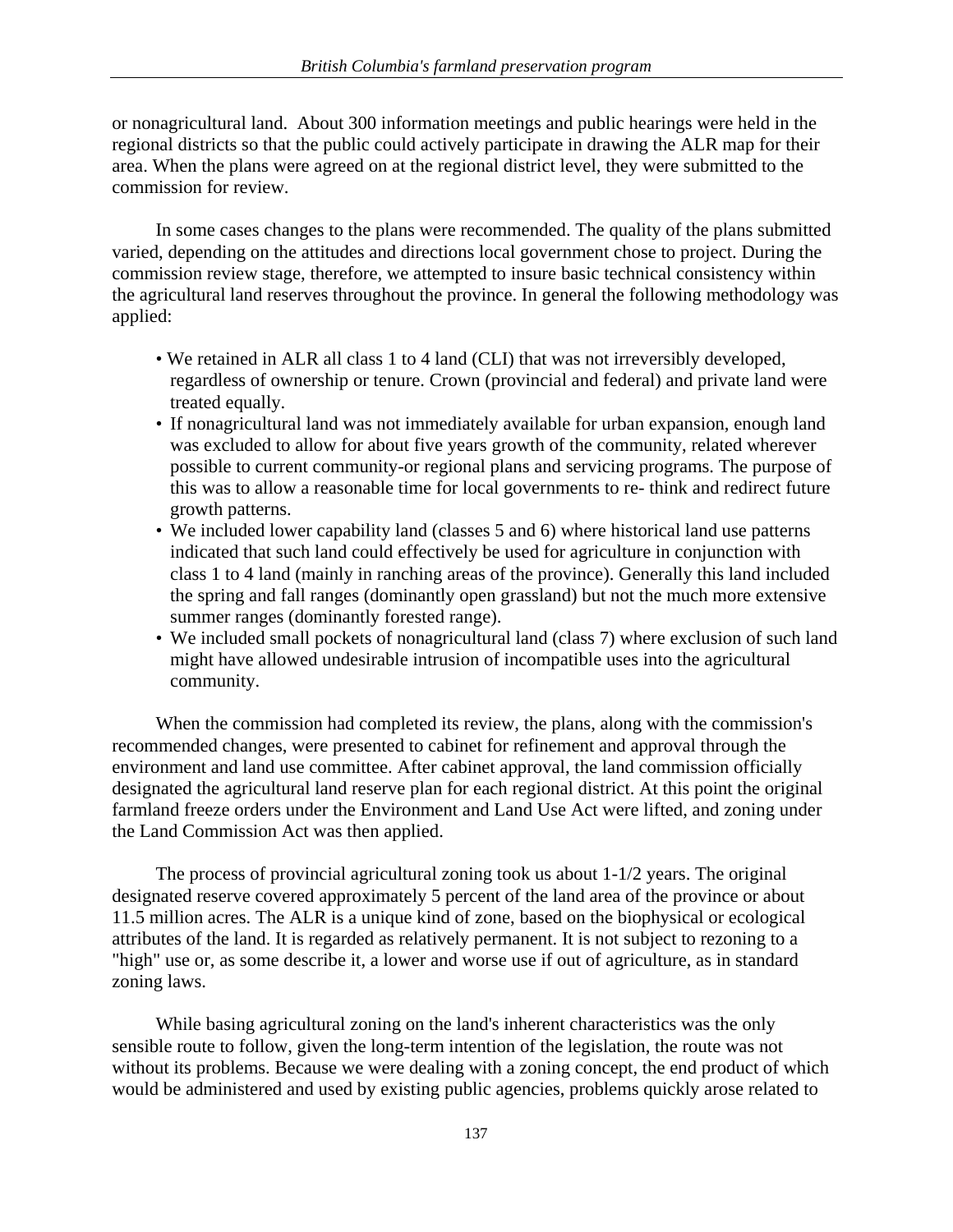or nonagricultural land. About 300 information meetings and public hearings were held in the regional districts so that the public could actively participate in drawing the ALR map for their area. When the plans were agreed on at the regional district level, they were submitted to the commission for review.

 In some cases changes to the plans were recommended. The quality of the plans submitted varied, depending on the attitudes and directions local government chose to project. During the commission review stage, therefore, we attempted to insure basic technical consistency within the agricultural land reserves throughout the province. In general the following methodology was applied:

- We retained in ALR all class 1 to 4 land (CLI) that was not irreversibly developed, regardless of ownership or tenure. Crown (provincial and federal) and private land were treated equally.
- If nonagricultural land was not immediately available for urban expansion, enough land was excluded to allow for about five years growth of the community, related wherever possible to current community-or regional plans and servicing programs. The purpose of this was to allow a reasonable time for local governments to re- think and redirect future growth patterns.
- We included lower capability land (classes 5 and 6) where historical land use patterns indicated that such land could effectively be used for agriculture in conjunction with class 1 to 4 land (mainly in ranching areas of the province). Generally this land included the spring and fall ranges (dominantly open grassland) but not the much more extensive summer ranges (dominantly forested range).
- We included small pockets of nonagricultural land (class 7) where exclusion of such land might have allowed undesirable intrusion of incompatible uses into the agricultural community.

 When the commission had completed its review, the plans, along with the commission's recommended changes, were presented to cabinet for refinement and approval through the environment and land use committee. After cabinet approval, the land commission officially designated the agricultural land reserve plan for each regional district. At this point the original farmland freeze orders under the Environment and Land Use Act were lifted, and zoning under the Land Commission Act was then applied.

The process of provincial agricultural zoning took us about  $1-1/2$  years. The original designated reserve covered approximately 5 percent of the land area of the province or about 11.5 million acres. The ALR is a unique kind of zone, based on the biophysical or ecological attributes of the land. It is regarded as relatively permanent. It is not subject to rezoning to a "high" use or, as some describe it, a lower and worse use if out of agriculture, as in standard zoning laws.

 While basing agricultural zoning on the land's inherent characteristics was the only sensible route to follow, given the long-term intention of the legislation, the route was not without its problems. Because we were dealing with a zoning concept, the end product of which would be administered and used by existing public agencies, problems quickly arose related to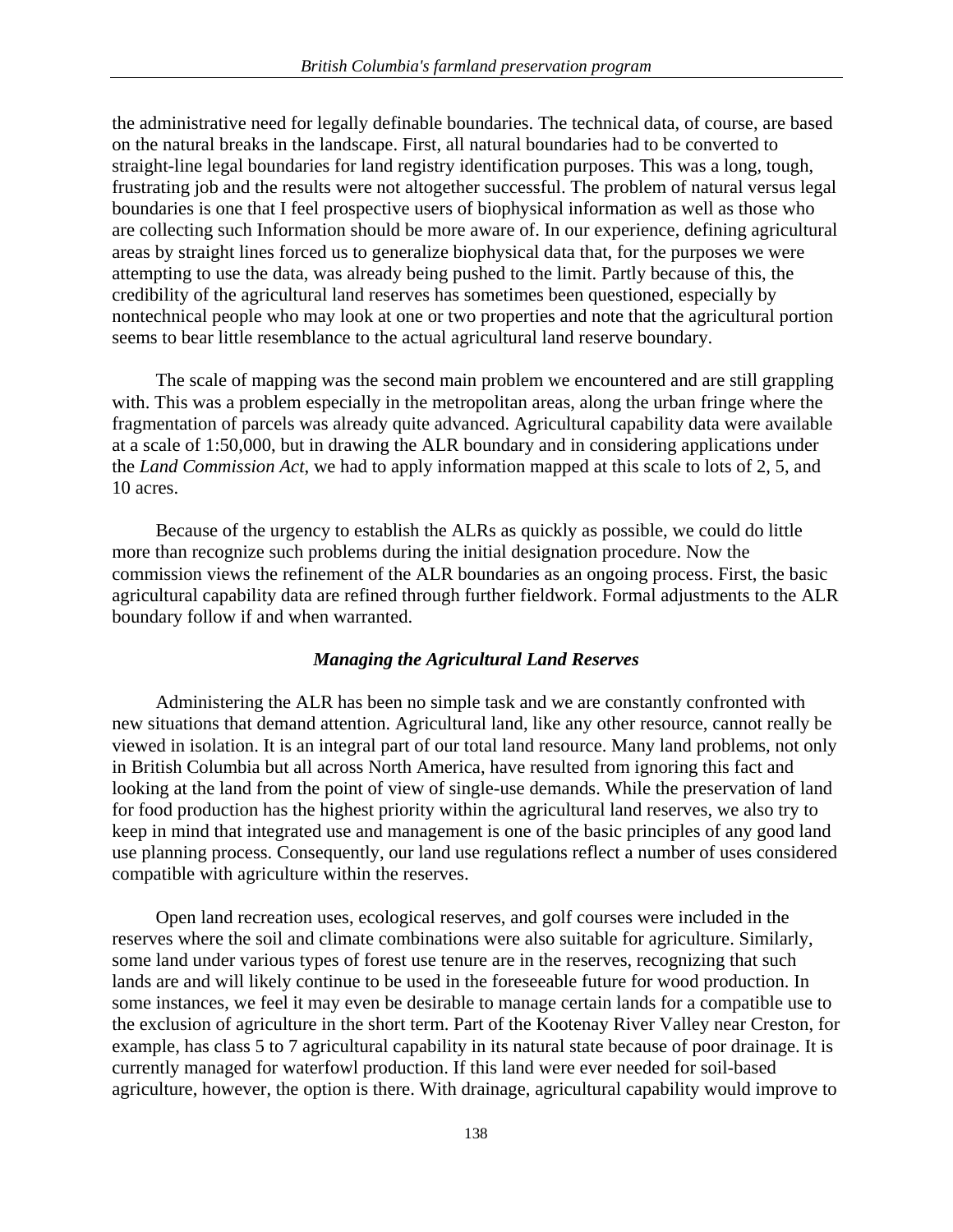the administrative need for legally definable boundaries. The technical data, of course, are based on the natural breaks in the landscape. First, all natural boundaries had to be converted to straight-line legal boundaries for land registry identification purposes. This was a long, tough, frustrating job and the results were not altogether successful. The problem of natural versus legal boundaries is one that I feel prospective users of biophysical information as well as those who are collecting such Information should be more aware of. In our experience, defining agricultural areas by straight lines forced us to generalize biophysical data that, for the purposes we were attempting to use the data, was already being pushed to the limit. Partly because of this, the credibility of the agricultural land reserves has sometimes been questioned, especially by nontechnical people who may look at one or two properties and note that the agricultural portion seems to bear little resemblance to the actual agricultural land reserve boundary.

 The scale of mapping was the second main problem we encountered and are still grappling with. This was a problem especially in the metropolitan areas, along the urban fringe where the fragmentation of parcels was already quite advanced. Agricultural capability data were available at a scale of 1:50,000, but in drawing the ALR boundary and in considering applications under the *Land Commission Act*, we had to apply information mapped at this scale to lots of 2, 5, and 10 acres.

 Because of the urgency to establish the ALRs as quickly as possible, we could do little more than recognize such problems during the initial designation procedure. Now the commission views the refinement of the ALR boundaries as an ongoing process. First, the basic agricultural capability data are refined through further fieldwork. Formal adjustments to the ALR boundary follow if and when warranted.

#### *Managing the Agricultural Land Reserves*

 Administering the ALR has been no simple task and we are constantly confronted with new situations that demand attention. Agricultural land, like any other resource, cannot really be viewed in isolation. It is an integral part of our total land resource. Many land problems, not only in British Columbia but all across North America, have resulted from ignoring this fact and looking at the land from the point of view of single-use demands. While the preservation of land for food production has the highest priority within the agricultural land reserves, we also try to keep in mind that integrated use and management is one of the basic principles of any good land use planning process. Consequently, our land use regulations reflect a number of uses considered compatible with agriculture within the reserves.

 Open land recreation uses, ecological reserves, and golf courses were included in the reserves where the soil and climate combinations were also suitable for agriculture. Similarly, some land under various types of forest use tenure are in the reserves, recognizing that such lands are and will likely continue to be used in the foreseeable future for wood production. In some instances, we feel it may even be desirable to manage certain lands for a compatible use to the exclusion of agriculture in the short term. Part of the Kootenay River Valley near Creston, for example, has class 5 to 7 agricultural capability in its natural state because of poor drainage. It is currently managed for waterfowl production. If this land were ever needed for soil-based agriculture, however, the option is there. With drainage, agricultural capability would improve to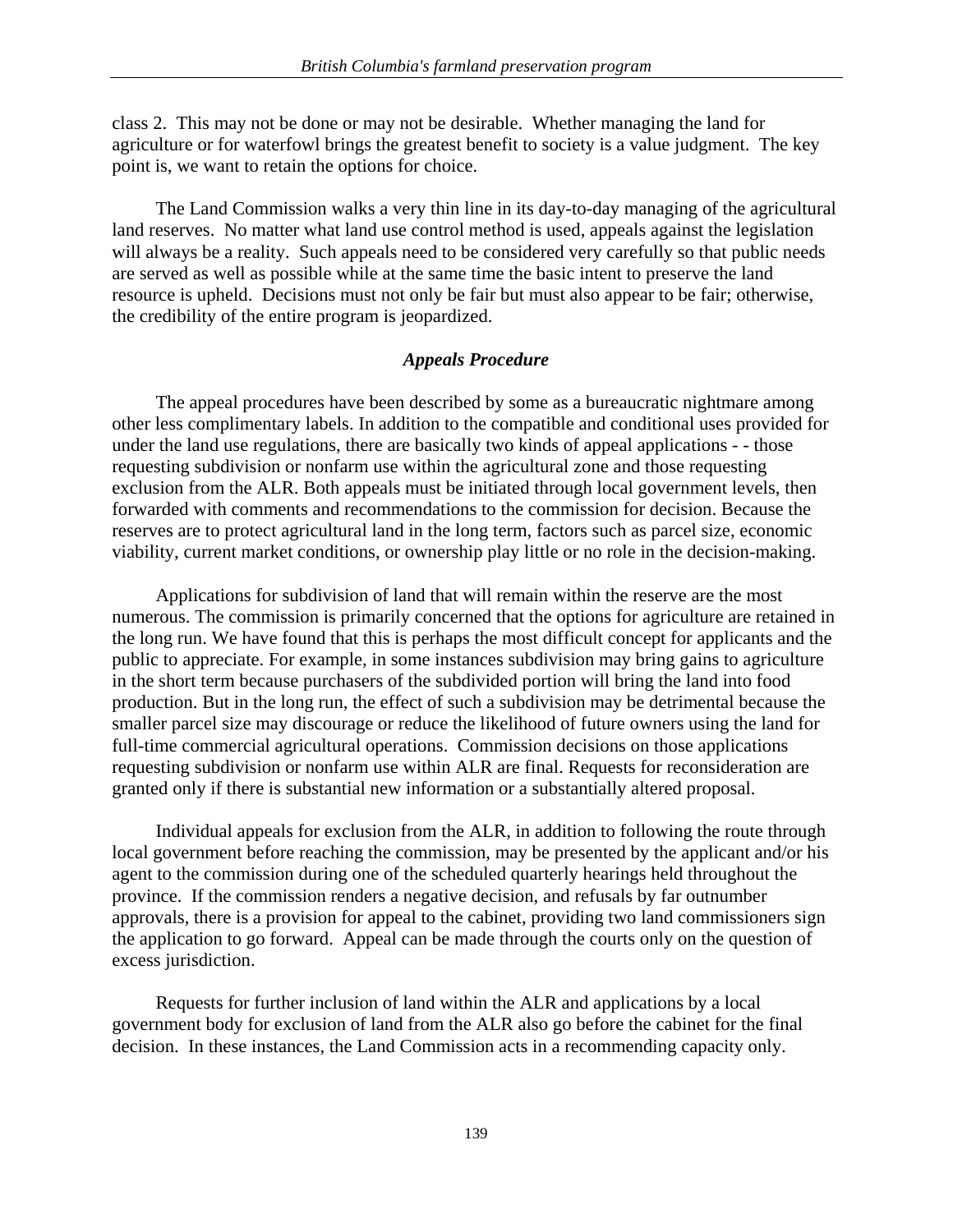class 2. This may not be done or may not be desirable. Whether managing the land for agriculture or for waterfowl brings the greatest benefit to society is a value judgment. The key point is, we want to retain the options for choice.

 The Land Commission walks a very thin line in its day-to-day managing of the agricultural land reserves. No matter what land use control method is used, appeals against the legislation will always be a reality. Such appeals need to be considered very carefully so that public needs are served as well as possible while at the same time the basic intent to preserve the land resource is upheld. Decisions must not only be fair but must also appear to be fair; otherwise, the credibility of the entire program is jeopardized.

## *Appeals Procedure*

 The appeal procedures have been described by some as a bureaucratic nightmare among other less complimentary labels. In addition to the compatible and conditional uses provided for under the land use regulations, there are basically two kinds of appeal applications - - those requesting subdivision or nonfarm use within the agricultural zone and those requesting exclusion from the ALR. Both appeals must be initiated through local government levels, then forwarded with comments and recommendations to the commission for decision. Because the reserves are to protect agricultural land in the long term, factors such as parcel size, economic viability, current market conditions, or ownership play little or no role in the decision-making.

 Applications for subdivision of land that will remain within the reserve are the most numerous. The commission is primarily concerned that the options for agriculture are retained in the long run. We have found that this is perhaps the most difficult concept for applicants and the public to appreciate. For example, in some instances subdivision may bring gains to agriculture in the short term because purchasers of the subdivided portion will bring the land into food production. But in the long run, the effect of such a subdivision may be detrimental because the smaller parcel size may discourage or reduce the likelihood of future owners using the land for full-time commercial agricultural operations. Commission decisions on those applications requesting subdivision or nonfarm use within ALR are final. Requests for reconsideration are granted only if there is substantial new information or a substantially altered proposal.

 Individual appeals for exclusion from the ALR, in addition to following the route through local government before reaching the commission, may be presented by the applicant and/or his agent to the commission during one of the scheduled quarterly hearings held throughout the province. If the commission renders a negative decision, and refusals by far outnumber approvals, there is a provision for appeal to the cabinet, providing two land commissioners sign the application to go forward. Appeal can be made through the courts only on the question of excess jurisdiction.

 Requests for further inclusion of land within the ALR and applications by a local government body for exclusion of land from the ALR also go before the cabinet for the final decision. In these instances, the Land Commission acts in a recommending capacity only.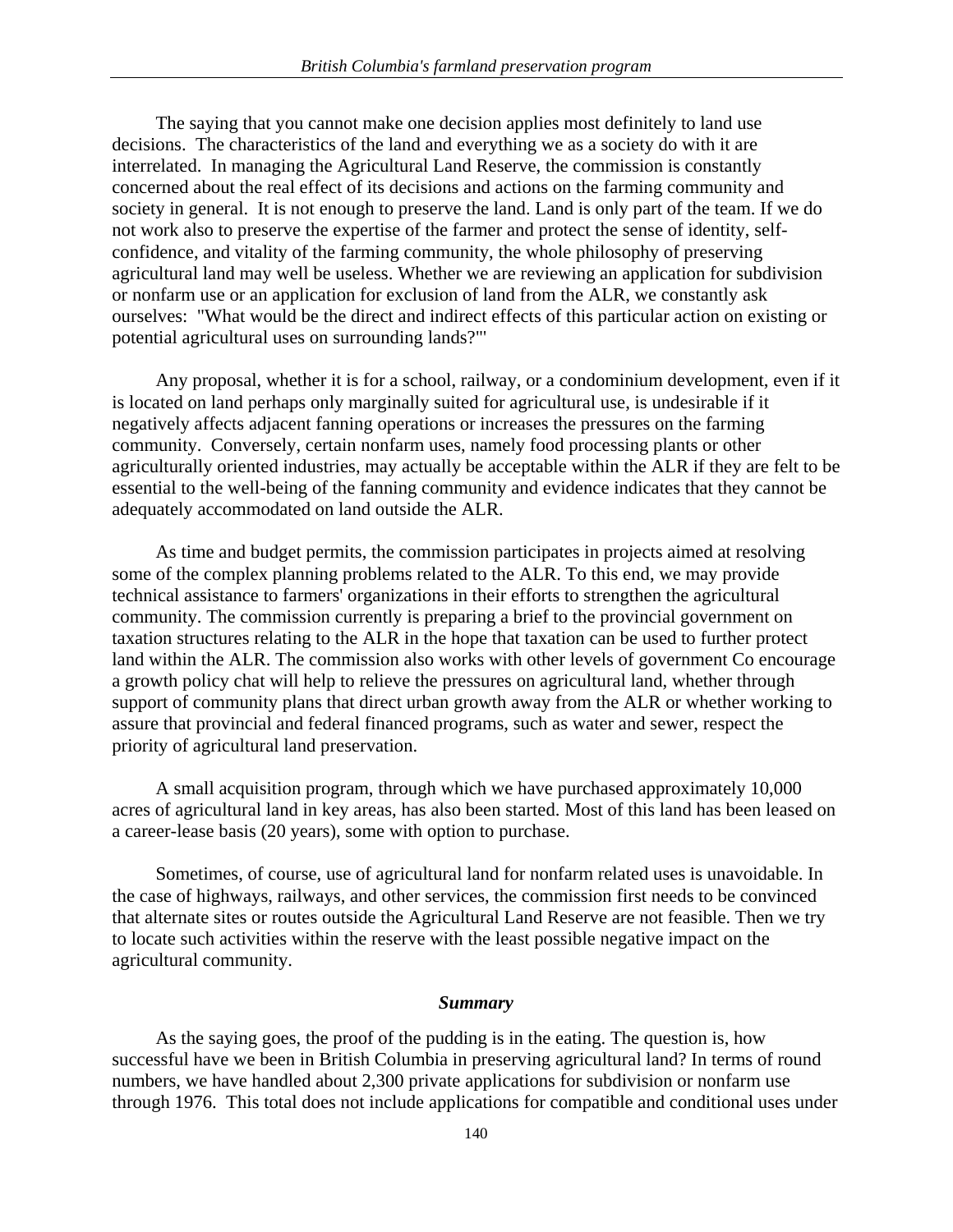The saying that you cannot make one decision applies most definitely to land use decisions. The characteristics of the land and everything we as a society do with it are interrelated. In managing the Agricultural Land Reserve, the commission is constantly concerned about the real effect of its decisions and actions on the farming community and society in general. It is not enough to preserve the land. Land is only part of the team. If we do not work also to preserve the expertise of the farmer and protect the sense of identity, selfconfidence, and vitality of the farming community, the whole philosophy of preserving agricultural land may well be useless. Whether we are reviewing an application for subdivision or nonfarm use or an application for exclusion of land from the ALR, we constantly ask ourselves: "What would be the direct and indirect effects of this particular action on existing or potential agricultural uses on surrounding lands?"'

 Any proposal, whether it is for a school, railway, or a condominium development, even if it is located on land perhaps only marginally suited for agricultural use, is undesirable if it negatively affects adjacent fanning operations or increases the pressures on the farming community. Conversely, certain nonfarm uses, namely food processing plants or other agriculturally oriented industries, may actually be acceptable within the ALR if they are felt to be essential to the well-being of the fanning community and evidence indicates that they cannot be adequately accommodated on land outside the ALR.

 As time and budget permits, the commission participates in projects aimed at resolving some of the complex planning problems related to the ALR. To this end, we may provide technical assistance to farmers' organizations in their efforts to strengthen the agricultural community. The commission currently is preparing a brief to the provincial government on taxation structures relating to the ALR in the hope that taxation can be used to further protect land within the ALR. The commission also works with other levels of government Co encourage a growth policy chat will help to relieve the pressures on agricultural land, whether through support of community plans that direct urban growth away from the ALR or whether working to assure that provincial and federal financed programs, such as water and sewer, respect the priority of agricultural land preservation.

 A small acquisition program, through which we have purchased approximately 10,000 acres of agricultural land in key areas, has also been started. Most of this land has been leased on a career-lease basis (20 years), some with option to purchase.

 Sometimes, of course, use of agricultural land for nonfarm related uses is unavoidable. In the case of highways, railways, and other services, the commission first needs to be convinced that alternate sites or routes outside the Agricultural Land Reserve are not feasible. Then we try to locate such activities within the reserve with the least possible negative impact on the agricultural community.

## *Summary*

 As the saying goes, the proof of the pudding is in the eating. The question is, how successful have we been in British Columbia in preserving agricultural land? In terms of round numbers, we have handled about 2,300 private applications for subdivision or nonfarm use through 1976. This total does not include applications for compatible and conditional uses under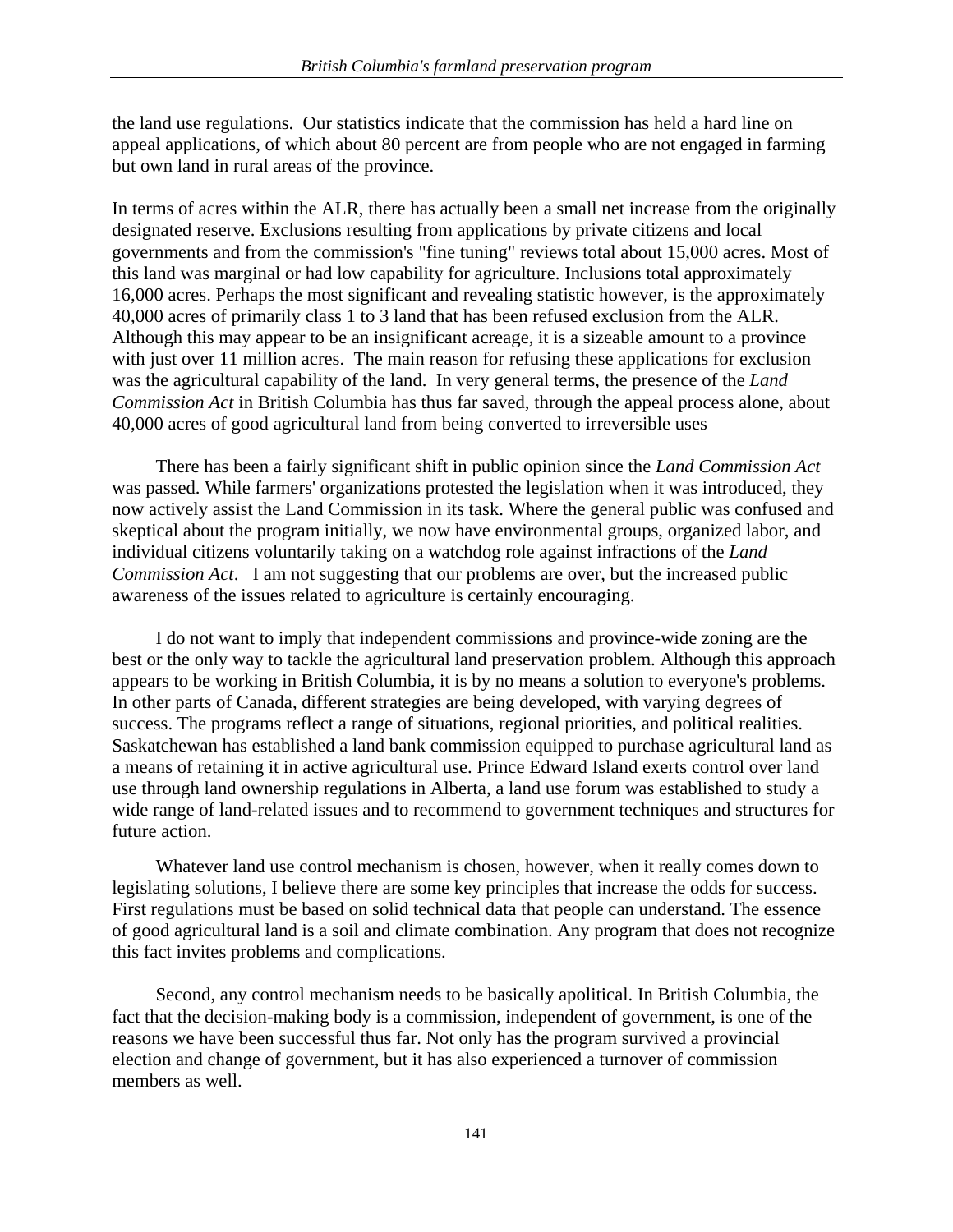the land use regulations. Our statistics indicate that the commission has held a hard line on appeal applications, of which about 80 percent are from people who are not engaged in farming but own land in rural areas of the province.

In terms of acres within the ALR, there has actually been a small net increase from the originally designated reserve. Exclusions resulting from applications by private citizens and local governments and from the commission's "fine tuning" reviews total about 15,000 acres. Most of this land was marginal or had low capability for agriculture. Inclusions total approximately 16,000 acres. Perhaps the most significant and revealing statistic however, is the approximately 40,000 acres of primarily class 1 to 3 land that has been refused exclusion from the ALR. Although this may appear to be an insignificant acreage, it is a sizeable amount to a province with just over 11 million acres. The main reason for refusing these applications for exclusion was the agricultural capability of the land. In very general terms, the presence of the *Land Commission Act* in British Columbia has thus far saved, through the appeal process alone, about 40,000 acres of good agricultural land from being converted to irreversible uses

 There has been a fairly significant shift in public opinion since the *Land Commission Act* was passed. While farmers' organizations protested the legislation when it was introduced, they now actively assist the Land Commission in its task. Where the general public was confused and skeptical about the program initially, we now have environmental groups, organized labor, and individual citizens voluntarily taking on a watchdog role against infractions of the *Land Commission Act*. I am not suggesting that our problems are over, but the increased public awareness of the issues related to agriculture is certainly encouraging.

 I do not want to imply that independent commissions and province-wide zoning are the best or the only way to tackle the agricultural land preservation problem. Although this approach appears to be working in British Columbia, it is by no means a solution to everyone's problems. In other parts of Canada, different strategies are being developed, with varying degrees of success. The programs reflect a range of situations, regional priorities, and political realities. Saskatchewan has established a land bank commission equipped to purchase agricultural land as a means of retaining it in active agricultural use. Prince Edward Island exerts control over land use through land ownership regulations in Alberta, a land use forum was established to study a wide range of land-related issues and to recommend to government techniques and structures for future action.

 Whatever land use control mechanism is chosen, however, when it really comes down to legislating solutions, I believe there are some key principles that increase the odds for success. First regulations must be based on solid technical data that people can understand. The essence of good agricultural land is a soil and climate combination. Any program that does not recognize this fact invites problems and complications.

 Second, any control mechanism needs to be basically apolitical. In British Columbia, the fact that the decision-making body is a commission, independent of government, is one of the reasons we have been successful thus far. Not only has the program survived a provincial election and change of government, but it has also experienced a turnover of commission members as well.